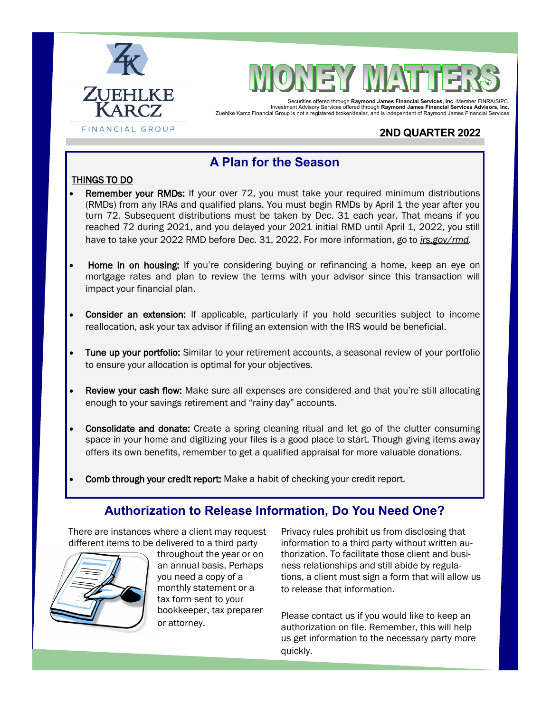



Securities offered through **Raymond James Financial Services, Inc**. Member FINRA/SIPC. Investment Advisory Services offered through **Raymond James Financial Services Advisors, Inc.**  Zuehlke Karcz Financial Group is not a registered broker/dealer, and is independent of Raymond James Financial Services

## **2ND QUARTER 2022**

## **A Plan for the Season**

### THINGS TO DO

- Remember your RMDs: If your over 72, you must take your required minimum distributions (RMDs) from any IRAs and qualified plans. You must begin RMDs by April 1 the year after you turn 72. Subsequent distributions must be taken by Dec. 31 each year. That means if you reached 72 during 2021, and you delayed your 2021 initial RMD until April 1, 2022, you still have to take your 2022 RMD before Dec. 31, 2022. For more information, go to *irs.gov/rmd.*
- Home in on housing: If you're considering buying or refinancing a home, keep an eye on mortgage rates and plan to review the terms with your advisor since this transaction will impact your financial plan.
- **Consider an extension:** If applicable, particularly if you hold securities subject to income reallocation, ask your tax advisor if filing an extension with the IRS would be beneficial.
- Tune up your portfolio: Similar to your retirement accounts, a seasonal review of your portfolio to ensure your allocation is optimal for your objectives.
- Review your cash flow: Make sure all expenses are considered and that you're still allocating enough to your savings retirement and "rainy day" accounts.
- Consolidate and donate: Create a spring cleaning ritual and let go of the clutter consuming space in your home and digitizing your files is a good place to start. Though giving items away offers its own benefits, remember to get a qualified appraisal for more valuable donations.
- Comb through your credit report: Make a habit of checking your credit report.

## **Authorization to Release Information, Do You Need One?**

There are instances where a client may request different items to be delivered to a third party



throughout the year or on an annual basis. Perhaps you need a copy of a monthly statement or a tax form sent to your bookkeeper, tax preparer or attorney.

Privacy rules prohibit us from disclosing that information to a third party without written authorization. To facilitate those client and business relationships and still abide by regulations, a client must sign a form that will allow us to release that information.

Please contact us if you would like to keep an authorization on file. Remember, this will help us get information to the necessary party more quickly.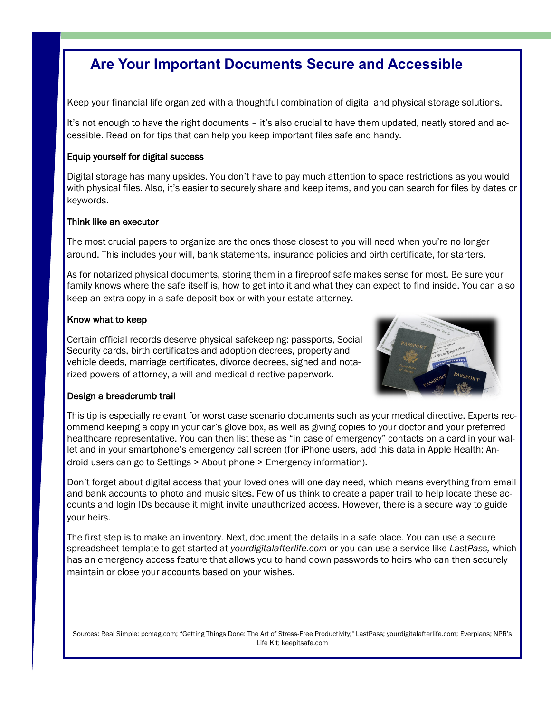# **Are Your Important Documents Secure and Accessible**

Keep your financial life organized with a thoughtful combination of digital and physical storage solutions.

It's not enough to have the right documents – it's also crucial to have them updated, neatly stored and accessible. Read on for tips that can help you keep important files safe and handy.

### Equip yourself for digital success

Digital storage has many upsides. You don't have to pay much attention to space restrictions as you would with physical files. Also, it's easier to securely share and keep items, and you can search for files by dates or keywords.

#### Think like an executor

The most crucial papers to organize are the ones those closest to you will need when you're no longer around. This includes your will, bank statements, insurance policies and birth certificate, for starters.

As for notarized physical documents, storing them in a fireproof safe makes sense for most. Be sure your family knows where the safe itself is, how to get into it and what they can expect to find inside. You can also keep an extra copy in a safe deposit box or with your estate attorney.

#### Know what to keep

Certain official records deserve physical safekeeping: passports, Social Security cards, birth certificates and adoption decrees, property and vehicle deeds, marriage certificates, divorce decrees, signed and notarized powers of attorney, a will and medical directive paperwork.



### Design a breadcrumb trail

This tip is especially relevant for worst case scenario documents such as your medical directive. Experts recommend keeping a copy in your car's glove box, as well as giving copies to your doctor and your preferred healthcare representative. You can then list these as "in case of emergency" contacts on a card in your wallet and in your smartphone's emergency call screen (for iPhone users, add this data in Apple Health; Android users can go to Settings > About phone > Emergency information).

Don't forget about digital access that your loved ones will one day need, which means everything from email and bank accounts to photo and music sites. Few of us think to create a paper trail to help locate these accounts and login IDs because it might invite unauthorized access. However, there is a secure way to guide your heirs.

The first step is to make an inventory. Next, document the details in a safe place. You can use a secure spreadsheet template to get started at *yourdigitalafterlife.com* or you can use a service like *LastPass,* which has an emergency access feature that allows you to hand down passwords to heirs who can then securely maintain or close your accounts based on your wishes.

Sources: Real Simple; pcmag.com; "Getting Things Done: The Art of Stress-Free Productivity;" LastPass; yourdigitalafterlife.com; Everplans; NPR's Life Kit; keepitsafe.com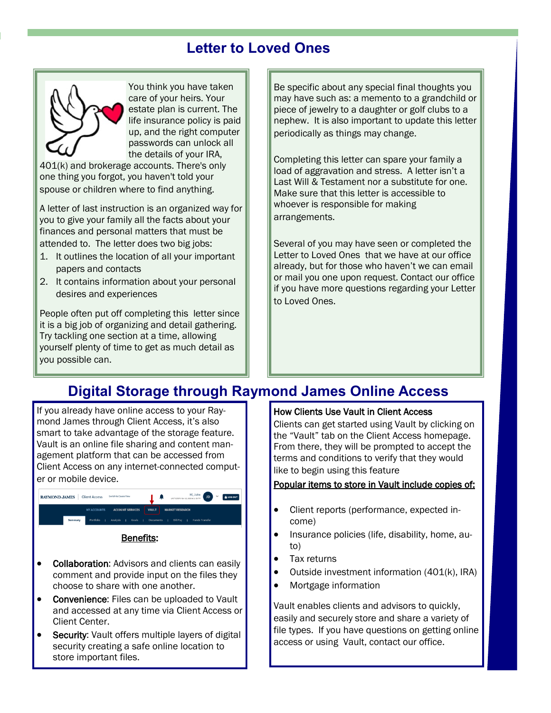# **Letter to Loved Ones**



You think you have taken care of your heirs. Your estate plan is current. The life insurance policy is paid up, and the right computer passwords can unlock all the details of your IRA,

401(k) and brokerage accounts. There's only one thing you forgot, you haven't told your spouse or children where to find anything.

A letter of last instruction is an organized way for you to give your family all the facts about your finances and personal matters that must be attended to. The letter does two big jobs:

- 1. It outlines the location of all your important papers and contacts
- 2. It contains information about your personal desires and experiences

People often put off completing this letter since it is a big job of organizing and detail gathering. Try tackling one section at a time, allowing yourself plenty of time to get as much detail as you possible can.

Be specific about any special final thoughts you may have such as: a memento to a grandchild or piece of jewelry to a daughter or golf clubs to a nephew. It is also important to update this letter periodically as things may change.

Completing this letter can spare your family a load of aggravation and stress. A letter isn't a Last Will & Testament nor a substitute for one. Make sure that this letter is accessible to whoever is responsible for making arrangements.

Several of you may have seen or completed the Letter to Loved Ones that we have at our office already, but for those who haven't we can email or mail you one upon request. Contact our office if you have more questions regarding your Letter to Loved Ones.

# **Digital Storage through Raymond James Online Access**

If you already have online access to your Raymond James through Client Access, it's also smart to take advantage of the storage feature. Vault is an online file sharing and content management platform that can be accessed from Client Access on any internet-connected computer or mobile device.



#### • Collaboration: Advisors and clients can easily comment and provide input on the files they choose to share with one another.

- Convenience: Files can be uploaded to Vault and accessed at any time via Client Access or Client Center.
- Security: Vault offers multiple layers of digital security creating a safe online location to store important files.

### How Clients Use Vault in Client Access

Clients can get started using Vault by clicking on the "Vault" tab on the Client Access homepage. From there, they will be prompted to accept the terms and conditions to verify that they would like to begin using this feature

### Popular items to store in Vault include copies of:

- Client reports (performance, expected income)
- Insurance policies (life, disability, home, auto)
- Tax returns
- Outside investment information (401(k), IRA)
- Mortgage information

Vault enables clients and advisors to quickly, easily and securely store and share a variety of file types. If you have questions on getting online access or using Vault, contact our office.